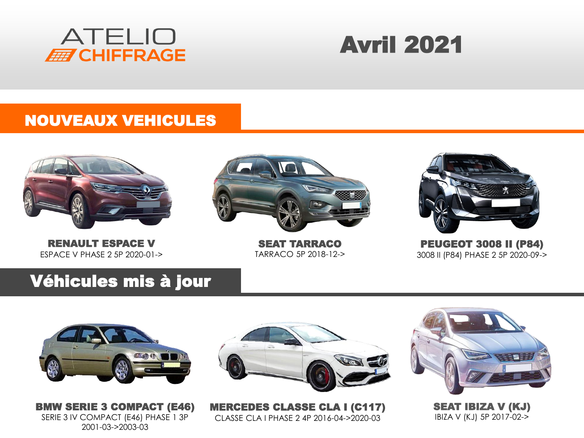

# Avril 2021

#### NOUVEAUX VEHICULES



RENAULT ESPACE V ESPACE V PHASE 2 5P 2020-01->



SEAT TARRACO TARRACO 5P 2018-12->



PEUGEOT 3008 II (P84) 3008 II (P84) PHASE 2 5P 2020-09->

#### Véhicules mis à jour



BMW SERIE 3 COMPACT (E46) SERIE 3 IV COMPACT (E46) PHASE 1 3P 2001-03->2003-03



MERCEDES CLASSE CLA I (C117) CLASSE CLA I PHASE 2 4P 2016-04->2020-03



SEAT IBIZA V (KJ) IBIZA V (KJ) 5P 2017-02->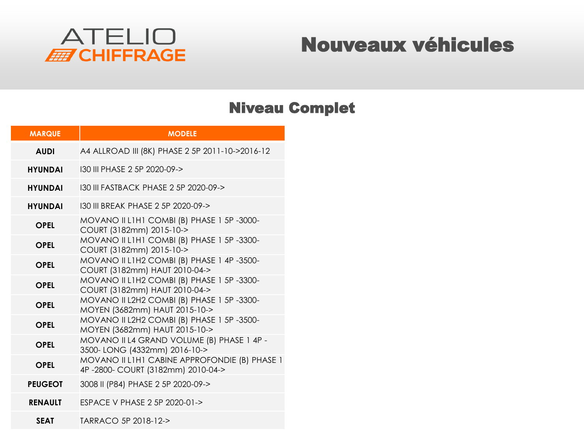

### Nouveaux véhicules

#### Niveau Complet

| <b>MARQUE</b>  | <b>MODELE</b>                                                                      |
|----------------|------------------------------------------------------------------------------------|
| <b>AUDI</b>    | A4 ALLROAD III (8K) PHASE 2 5P 2011-10->2016-12                                    |
| <b>HYUNDAI</b> | 130 III PHASE 2 5P 2020-09->                                                       |
| <b>HYUNDAI</b> | 130 III FASTBACK PHASE 2 5P 2020-09->                                              |
| <b>HYUNDAI</b> | 130 III BREAK PHASE 2 5P 2020-09->                                                 |
| OPEL           | MOVANO II LIHI COMBI (B) PHASE 1 5P-3000-<br>COURT (3182mm) 2015-10->              |
| OPEL           | MOVANO II LIHI COMBI (B) PHASE 1 5P-3300-<br>COURT (3182mm) 2015-10->              |
| <b>OPEL</b>    | MOVANO II L1H2 COMBI (B) PHASE 1 4P-3500-<br>COURT (3182mm) HAUT 2010-04->         |
| <b>OPEL</b>    | MOVANO II L1H2 COMBI (B) PHASE 1 5P-3300-<br>COURT (3182mm) HAUT 2010-04->         |
| <b>OPEL</b>    | MOVANO II L2H2 COMBI (B) PHASE 1 5P -3300-<br>MOYEN (3682mm) HAUT 2015-10->        |
| <b>OPEL</b>    | MOVANO II L2H2 COMBI (B) PHASE 1 5P-3500-<br>MOYEN (3682mm) HAUT 2015-10->         |
| <b>OPEL</b>    | MOVANO II L4 GRAND VOLUME (B) PHASE 1 4P -<br>3500-LONG (4332mm) 2016-10->         |
| <b>OPEL</b>    | MOVANO II LIHI CABINE APPROFONDIE (B) PHASE 1<br>4P-2800- COURT (3182mm) 2010-04-> |
| <b>PEUGEOT</b> | 3008 II (P84) PHASE 2 5P 2020-09->                                                 |
| <b>RENAULT</b> | ESPACE V PHASE 2 5P 2020-01->                                                      |
| <b>SEAT</b>    | TARRACO 5P 2018-12->                                                               |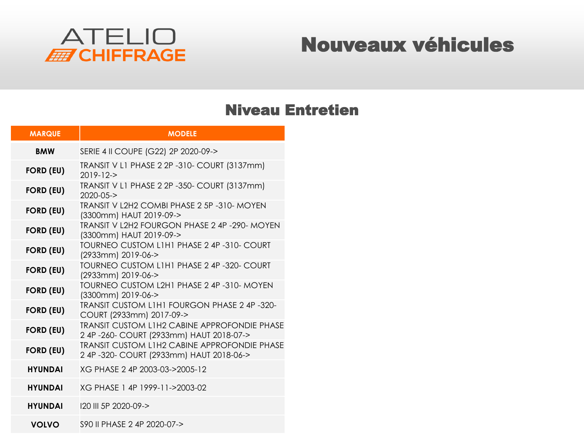

### Nouveaux véhicules

#### Niveau Entretien

| <b>MARQUE</b>    | <b>MODELE</b>                                                                                  |  |  |  |  |
|------------------|------------------------------------------------------------------------------------------------|--|--|--|--|
| <b>BMW</b>       | SERIE 4 II COUPE (G22) 2P 2020-09->                                                            |  |  |  |  |
| <b>FORD (EU)</b> | TRANSIT V L1 PHASE 2 2P -310- COURT (3137mm)<br>$2019 - 12 - 5$                                |  |  |  |  |
| <b>FORD (EU)</b> | TRANSIT V L1 PHASE 2 2P -350- COURT (3137mm)<br>2020-05->                                      |  |  |  |  |
| <b>FORD (EU)</b> | TRANSIT V L2H2 COMBI PHASE 2 5P-310- MOYEN<br>(3300mm) HAUT 2019-09->                          |  |  |  |  |
| <b>FORD (EU)</b> | TRANSIT V L2H2 FOURGON PHASE 2 4P -290- MOYEN<br>(3300mm) HAUT 2019-09->                       |  |  |  |  |
| <b>FORD (EU)</b> | TOURNEO CUSTOM LIHI PHASE 2 4P-310- COURT<br>(2933mm) 2019-06->                                |  |  |  |  |
| <b>FORD (EU)</b> | TOURNEO CUSTOM L1H1 PHASE 2 4P -320- COURT<br>(2933mm) 2019-06->                               |  |  |  |  |
| <b>FORD (EU)</b> | TOURNEO CUSTOM L2H1 PHASE 2 4P -310- MOYEN<br>(3300mm) 2019-06->                               |  |  |  |  |
| <b>FORD (EU)</b> | TRANSIT CUSTOM LIH1 FOURGON PHASE 2 4P-320-<br>COURT (2933mm) 2017-09->                        |  |  |  |  |
| <b>FORD (EU)</b> | <b>TRANSIT CUSTOM L1H2 CABINE APPROFONDIE PHASE</b><br>2 4P-260- COURT (2933mm) HAUT 2018-07-> |  |  |  |  |
| <b>FORD (EU)</b> | <b>TRANSIT CUSTOM L1H2 CABINE APPROFONDIE PHASE</b><br>2 4P-320- COURT (2933mm) HAUT 2018-06-> |  |  |  |  |
| <b>HYUNDAI</b>   | XG PHASE 2 4P 2003-03->2005-12                                                                 |  |  |  |  |
| <b>HYUNDAI</b>   | XG PHASE 1 4P 1999-11->2003-02                                                                 |  |  |  |  |
| <b>HYUNDAI</b>   | I20 III 5P 2020-09->                                                                           |  |  |  |  |
| <b>VOLVO</b>     | S90 II PHASE 2 4P 2020-07->                                                                    |  |  |  |  |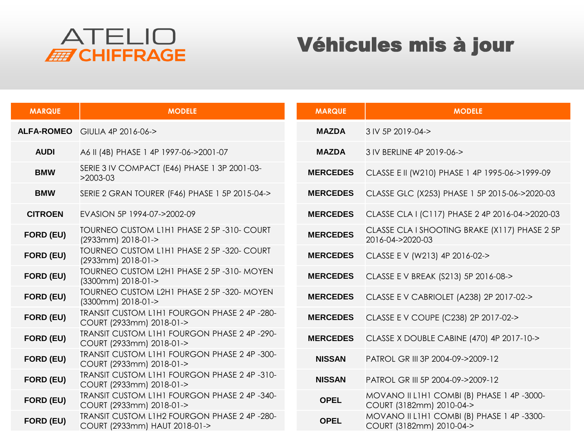

## Véhicules mis à jour

| <b>MARQUE</b>  | <b>MODELE</b>                                                                 | <b>MARQUE</b>   | <b>MODELE</b>                                                         |
|----------------|-------------------------------------------------------------------------------|-----------------|-----------------------------------------------------------------------|
|                | ALFA-ROMEO GIULIA 4P 2016-06->                                                | <b>MAZDA</b>    | 3 IV 5P 2019-04->                                                     |
| <b>AUDI</b>    | A6 II (4B) PHASE 1 4P 1997-06->2001-07                                        | <b>MAZDA</b>    | 3 IV BERLINE 4P 2019-06->                                             |
| <b>BMW</b>     | SERIE 3 IV COMPACT (E46) PHASE 1 3P 2001-03-<br>$>2003-03$                    | <b>MERCEDES</b> | CLASSE E II (W210) PHASE 1 4P 1995-06->1999-09                        |
| <b>BMW</b>     | SERIE 2 GRAN TOURER (F46) PHASE 1 5P 2015-04->                                | <b>MERCEDES</b> | CLASSE GLC (X253) PHASE 1 5P 2015-06->2020-03                         |
| <b>CITROEN</b> | EVASION 5P 1994-07->2002-09                                                   | <b>MERCEDES</b> | CLASSE CLA I (C117) PHASE 2 4P 2016-04->2020-03                       |
| FORD (EU)      | TOURNEO CUSTOM L1H1 PHASE 2 5P-310- COURT<br>(2933mm) 2018-01->               | <b>MERCEDES</b> | CLASSE CLA I SHOOTING BRAKE (X117) PHASE 2 5P<br>2016-04->2020-03     |
| FORD (EU)      | TOURNEO CUSTOM L1H1 PHASE 2 5P -320- COURT<br>(2933mm) 2018-01->              | <b>MERCEDES</b> | CLASSE E V (W213) 4P 2016-02->                                        |
| FORD (EU)      | TOURNEO CUSTOM L2H1 PHASE 2 5P-310-MOYEN<br>(3300mm) 2018-01->                | <b>MERCEDES</b> | CLASSE E V BREAK (S213) 5P 2016-08->                                  |
| FORD (EU)      | TOURNEO CUSTOM L2H1 PHASE 2 5P -320- MOYEN<br>(3300mm) 2018-01->              | <b>MERCEDES</b> | CLASSE E V CABRIOLET (A238) 2P 2017-02->                              |
| FORD (EU)      | TRANSIT CUSTOM L1H1 FOURGON PHASE 2 4P -280-<br>COURT (2933mm) 2018-01->      | <b>MERCEDES</b> | CLASSE E V COUPE (C238) 2P 2017-02->                                  |
| FORD (EU)      | TRANSIT CUSTOM L1H1 FOURGON PHASE 2 4P-290-<br>COURT (2933mm) 2018-01->       | <b>MERCEDES</b> | CLASSE X DOUBLE CABINE (470) 4P 2017-10->                             |
| FORD (EU)      | TRANSIT CUSTOM L1H1 FOURGON PHASE 2 4P -300-<br>COURT (2933mm) 2018-01->      | <b>NISSAN</b>   | PATROL GR III 3P 2004-09->2009-12                                     |
| FORD (EU)      | TRANSIT CUSTOM L1H1 FOURGON PHASE 2 4P-310-<br>COURT (2933mm) 2018-01->       | <b>NISSAN</b>   | PATROL GR III 5P 2004-09->2009-12                                     |
| FORD (EU)      | TRANSIT CUSTOM L1H1 FOURGON PHASE 2 4P-340-<br>COURT (2933mm) 2018-01->       | <b>OPEL</b>     | MOVANO II L1H1 COMBI (B) PHASE 1 4P-3000-<br>COURT (3182mm) 2010-04-> |
| FORD (EU)      | TRANSIT CUSTOM L1H2 FOURGON PHASE 2 4P -280-<br>COURT (2933mm) HAUT 2018-01-> | <b>OPEL</b>     | MOVANO II LIHI COMBI (B) PHASE 1 4P-3300-<br>COURT (3182mm) 2010-04-> |